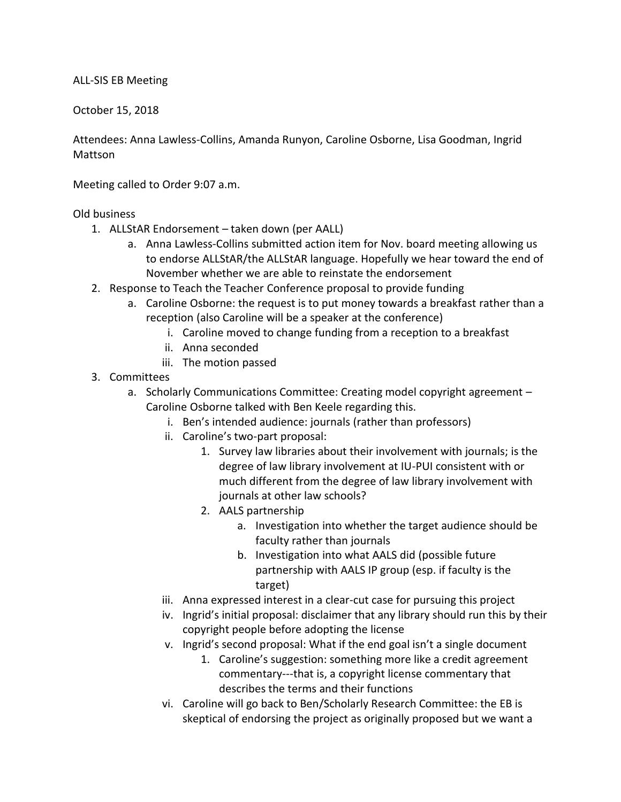ALL-SIS EB Meeting

October 15, 2018

Attendees: Anna Lawless-Collins, Amanda Runyon, Caroline Osborne, Lisa Goodman, Ingrid Mattson

Meeting called to Order 9:07 a.m.

## Old business

- 1. ALLStAR Endorsement taken down (per AALL)
	- a. Anna Lawless-Collins submitted action item for Nov. board meeting allowing us to endorse ALLStAR/the ALLStAR language. Hopefully we hear toward the end of November whether we are able to reinstate the endorsement
- 2. Response to Teach the Teacher Conference proposal to provide funding
	- a. Caroline Osborne: the request is to put money towards a breakfast rather than a reception (also Caroline will be a speaker at the conference)
		- i. Caroline moved to change funding from a reception to a breakfast
		- ii. Anna seconded
		- iii. The motion passed
- 3. Committees
	- a. Scholarly Communications Committee: Creating model copyright agreement Caroline Osborne talked with Ben Keele regarding this.
		- i. Ben's intended audience: journals (rather than professors)
		- ii. Caroline's two-part proposal:
			- 1. Survey law libraries about their involvement with journals; is the degree of law library involvement at IU-PUI consistent with or much different from the degree of law library involvement with journals at other law schools?
			- 2. AALS partnership
				- a. Investigation into whether the target audience should be faculty rather than journals
				- b. Investigation into what AALS did (possible future partnership with AALS IP group (esp. if faculty is the target)
		- iii. Anna expressed interest in a clear-cut case for pursuing this project
		- iv. Ingrid's initial proposal: disclaimer that any library should run this by their copyright people before adopting the license
		- v. Ingrid's second proposal: What if the end goal isn't a single document
			- 1. Caroline's suggestion: something more like a credit agreement commentary---that is, a copyright license commentary that describes the terms and their functions
		- vi. Caroline will go back to Ben/Scholarly Research Committee: the EB is skeptical of endorsing the project as originally proposed but we want a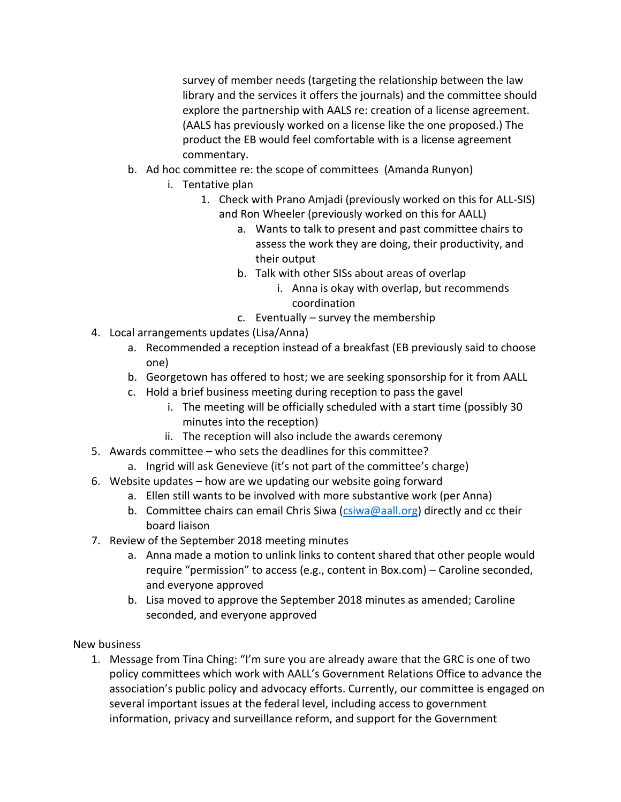survey of member needs (targeting the relationship between the law library and the services it offers the journals) and the committee should explore the partnership with AALS re: creation of a license agreement. (AALS has previously worked on a license like the one proposed.) The product the EB would feel comfortable with is a license agreement commentary.

- b. Ad hoc committee re: the scope of committees (Amanda Runyon)
	- i. Tentative plan
		- 1. Check with Prano Amjadi (previously worked on this for ALL-SIS) and Ron Wheeler (previously worked on this for AALL)
			- a. Wants to talk to present and past committee chairs to assess the work they are doing, their productivity, and their output
			- b. Talk with other SISs about areas of overlap
				- i. Anna is okay with overlap, but recommends coordination
			- c. Eventually survey the membership
- 4. Local arrangements updates (Lisa/Anna)
	- a. Recommended a reception instead of a breakfast (EB previously said to choose one)
	- b. Georgetown has offered to host; we are seeking sponsorship for it from AALL
	- c. Hold a brief business meeting during reception to pass the gavel
		- i. The meeting will be officially scheduled with a start time (possibly 30 minutes into the reception)
		- ii. The reception will also include the awards ceremony
- 5. Awards committee who sets the deadlines for this committee?
	- a. Ingrid will ask Genevieve (it's not part of the committee's charge)
- 6. Website updates how are we updating our website going forward
	- a. Ellen still wants to be involved with more substantive work (per Anna)
	- b. Committee chairs can email Chris Siwa  $(c$ siwa@aall.org) directly and cc their board liaison
- 7. Review of the September 2018 meeting minutes
	- a. Anna made a motion to unlink links to content shared that other people would require "permission" to access (e.g., content in Box.com) – Caroline seconded, and everyone approved
	- b. Lisa moved to approve the September 2018 minutes as amended; Caroline seconded, and everyone approved

New business

1. Message from Tina Ching: "I'm sure you are already aware that the GRC is one of two policy committees which work with AALL's Government Relations Office to advance the association's public policy and advocacy efforts. Currently, our committee is engaged on several important issues at the federal level, including access to government information, privacy and surveillance reform, and support for the Government